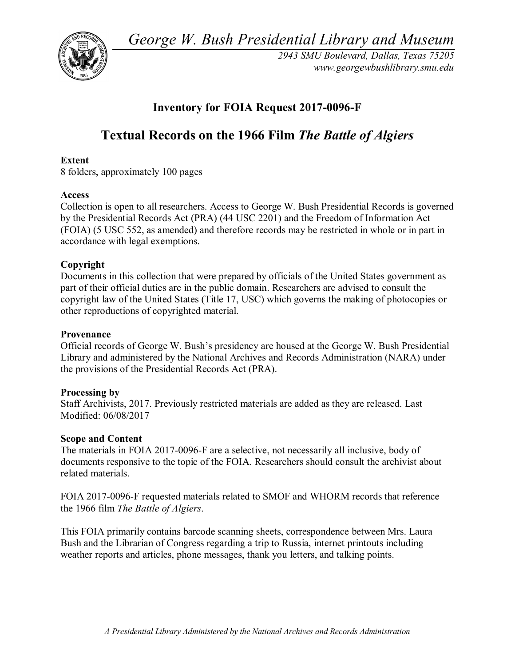*George W. Bush Presidential Library and Museum* 



*2943 SMU Boulevard, Dallas, Texas 75205 <www.georgewbushlibrary.smu.edu>*

# **Inventory for FOIA Request 2017-0096-F**

# **Textual Records on the 1966 Film** *The Battle of Algiers*

# **Extent**

8 folders, approximately 100 pages

### **Access**

 Collection is open to all researchers. Access to George W. Bush Presidential Records is governed by the Presidential Records Act (PRA) (44 USC 2201) and the Freedom of Information Act (FOIA) (5 USC 552, as amended) and therefore records may be restricted in whole or in part in accordance with legal exemptions.

# **Copyright**

Documents in this collection that were prepared by officials of the United States government as part of their official duties are in the public domain. Researchers are advised to consult the copyright law of the United States (Title 17, USC) which governs the making of photocopies or other reproductions of copyrighted material.

#### **Provenance**

Official records of George W. Bush's presidency are housed at the George W. Bush Presidential Library and administered by the National Archives and Records Administration (NARA) under the provisions of the Presidential Records Act (PRA).

# **Processing by**

Staff Archivists, 2017. Previously restricted materials are added as they are released. Last Modified: 06/08/2017

# **Scope and Content**

The materials in FOIA 2017-0096-F are a selective, not necessarily all inclusive, body of documents responsive to the topic of the FOIA. Researchers should consult the archivist about related materials.

FOIA 2017-0096-F requested materials related to SMOF and WHORM records that reference the 1966 film *The Battle of Algiers*.

 Bush and the Librarian of Congress regarding a trip to Russia, internet printouts including weather reports and articles, phone messages, thank you letters, and talking points. This FOIA primarily contains barcode scanning sheets, correspondence between Mrs. Laura